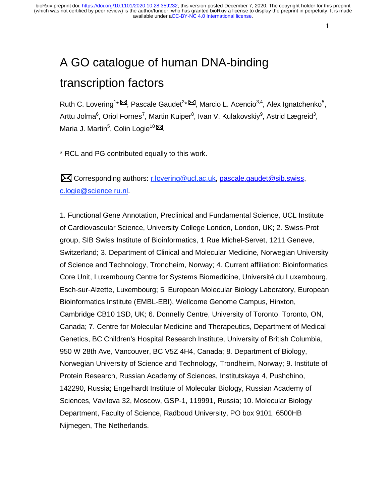# A GO catalogue of human DNA-binding transcription factors

Ruth C. Lovering<sup>1\*</sup><sup>[2]</sup>, Pascale Gaudet<sup>2\*</sup><sup>[24]</sup>, Marcio L. Acencio<sup>3,4</sup>, Alex Ignatchenko<sup>5</sup>, Arttu Jolma<sup>6</sup>, Oriol Fornes<sup>7</sup>, Martin Kuiper<sup>8</sup>, Ivan V. Kulakovskiy<sup>9</sup>, Astrid Lægreid<sup>3</sup>, Maria J. Martin<sup>5</sup>, Colin Logie<sup>10</sup>

\* RCL and PG contributed equally to this work.

 Corresponding authors: r.lovering@ucl.ac.uk, pascale.gaudet@sib.swiss, c.logie@science.ru.nl.

1. Functional Gene Annotation, Preclinical and Fundamental Science, UCL Institute of Cardiovascular Science, University College London, London, UK; 2. Swiss-Prot group, SIB Swiss Institute of Bioinformatics, 1 Rue Michel-Servet, 1211 Geneve, Switzerland; 3. Department of Clinical and Molecular Medicine, Norwegian University of Science and Technology, Trondheim, Norway; 4. Current affiliation: Bioinformatics Core Unit, Luxembourg Centre for Systems Biomedicine, Université du Luxembourg, Esch-sur-Alzette, Luxembourg; 5. European Molecular Biology Laboratory, European Bioinformatics Institute (EMBL-EBI), Wellcome Genome Campus, Hinxton, Cambridge CB10 1SD, UK; 6. Donnelly Centre, University of Toronto, Toronto, ON, Canada; 7. Centre for Molecular Medicine and Therapeutics, Department of Medical Genetics, BC Children's Hospital Research Institute, University of British Columbia, 950 W 28th Ave, Vancouver, BC V5Z 4H4, Canada; 8. Department of Biology, Norwegian University of Science and Technology, Trondheim, Norway; 9. Institute of Protein Research, Russian Academy of Sciences, Institutskaya 4, Pushchino, 142290, Russia; Engelhardt Institute of Molecular Biology, Russian Academy of Sciences, Vavilova 32, Moscow, GSP-1, 119991, Russia; 10. Molecular Biology Department, Faculty of Science, Radboud University, PO box 9101, 6500HB Nijmegen, The Netherlands.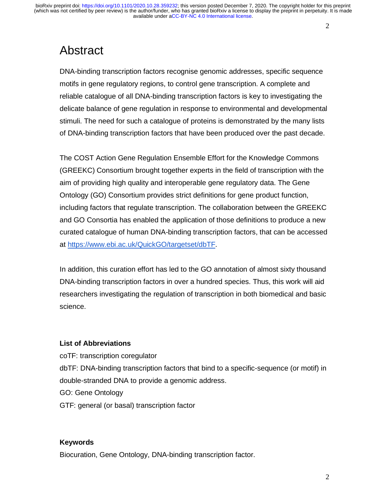### Abstract

DNA-binding transcription factors recognise genomic addresses, specific sequence motifs in gene regulatory regions, to control gene transcription. A complete and reliable catalogue of all DNA-binding transcription factors is key to investigating the delicate balance of gene regulation in response to environmental and developmental stimuli. The need for such a catalogue of proteins is demonstrated by the many lists of DNA-binding transcription factors that have been produced over the past decade.

The COST Action Gene Regulation Ensemble Effort for the Knowledge Commons (GREEKC) Consortium brought together experts in the field of transcription with the aim of providing high quality and interoperable gene regulatory data. The Gene Ontology (GO) Consortium provides strict definitions for gene product function, including factors that regulate transcription. The collaboration between the GREEKC and GO Consortia has enabled the application of those definitions to produce a new curated catalogue of human DNA-binding transcription factors, that can be accessed at https://www.ebi.ac.uk/QuickGO/targetset/dbTF.

In addition, this curation effort has led to the GO annotation of almost sixty thousand DNA-binding transcription factors in over a hundred species. Thus, this work will aid researchers investigating the regulation of transcription in both biomedical and basic science.

#### **List of Abbreviations**

coTF: transcription coregulator dbTF: DNA-binding transcription factors that bind to a specific-sequence (or motif) in double-stranded DNA to provide a genomic address. GO: Gene Ontology GTF: general (or basal) transcription factor

#### **Keywords**

Biocuration, Gene Ontology, DNA-binding transcription factor.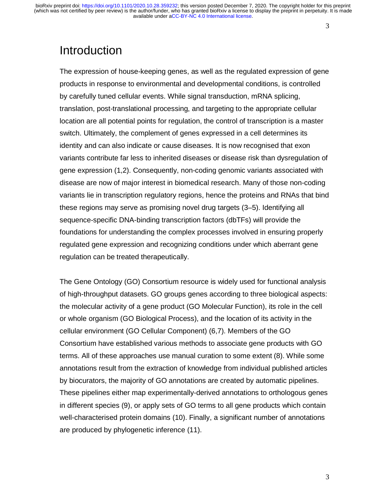## Introduction

The expression of house-keeping genes, as well as the regulated expression of gene products in response to environmental and developmental conditions, is controlled by carefully tuned cellular events. While signal transduction, mRNA splicing, translation, post-translational processing, and targeting to the appropriate cellular location are all potential points for regulation, the control of transcription is a master switch. Ultimately, the complement of genes expressed in a cell determines its identity and can also indicate or cause diseases. It is now recognised that exon variants contribute far less to inherited diseases or disease risk than dysregulation of gene expression (1,2). Consequently, non-coding genomic variants associated with disease are now of major interest in biomedical research. Many of those non-coding variants lie in transcription regulatory regions, hence the proteins and RNAs that bind these regions may serve as promising novel drug targets (3–5). Identifying all sequence-specific DNA-binding transcription factors (dbTFs) will provide the foundations for understanding the complex processes involved in ensuring properly regulated gene expression and recognizing conditions under which aberrant gene regulation can be treated therapeutically.

The Gene Ontology (GO) Consortium resource is widely used for functional analysis of high-throughput datasets. GO groups genes according to three biological aspects: the molecular activity of a gene product (GO Molecular Function), its role in the cell or whole organism (GO Biological Process), and the location of its activity in the cellular environment (GO Cellular Component) (6,7). Members of the GO Consortium have established various methods to associate gene products with GO terms. All of these approaches use manual curation to some extent (8). While some annotations result from the extraction of knowledge from individual published articles by biocurators, the majority of GO annotations are created by automatic pipelines. These pipelines either map experimentally-derived annotations to orthologous genes in different species (9), or apply sets of GO terms to all gene products which contain well-characterised protein domains (10). Finally, a significant number of annotations are produced by phylogenetic inference (11).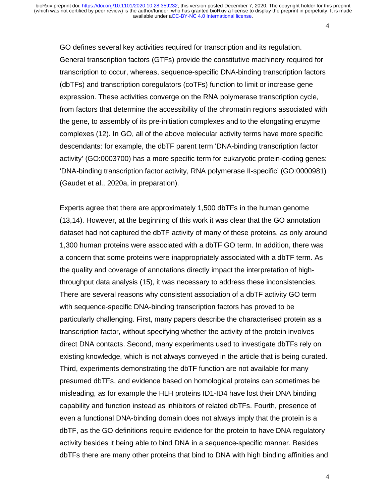GO defines several key activities required for transcription and its regulation. General transcription factors (GTFs) provide the constitutive machinery required for transcription to occur, whereas, sequence-specific DNA-binding transcription factors (dbTFs) and transcription coregulators (coTFs) function to limit or increase gene expression. These activities converge on the RNA polymerase transcription cycle, from factors that determine the accessibility of the chromatin regions associated with the gene, to assembly of its pre-initiation complexes and to the elongating enzyme complexes (12). In GO, all of the above molecular activity terms have more specific descendants: for example, the dbTF parent term 'DNA-binding transcription factor activity' (GO:0003700) has a more specific term for eukaryotic protein-coding genes: 'DNA-binding transcription factor activity, RNA polymerase II-specific' (GO:0000981) (Gaudet et al., 2020a, in preparation).

Experts agree that there are approximately 1,500 dbTFs in the human genome (13,14). However, at the beginning of this work it was clear that the GO annotation dataset had not captured the dbTF activity of many of these proteins, as only around 1,300 human proteins were associated with a dbTF GO term. In addition, there was a concern that some proteins were inappropriately associated with a dbTF term. As the quality and coverage of annotations directly impact the interpretation of highthroughput data analysis (15), it was necessary to address these inconsistencies. There are several reasons why consistent association of a dbTF activity GO term with sequence-specific DNA-binding transcription factors has proved to be particularly challenging. First, many papers describe the characterised protein as a transcription factor, without specifying whether the activity of the protein involves direct DNA contacts. Second, many experiments used to investigate dbTFs rely on existing knowledge, which is not always conveyed in the article that is being curated. Third, experiments demonstrating the dbTF function are not available for many presumed dbTFs, and evidence based on homological proteins can sometimes be misleading, as for example the HLH proteins ID1-ID4 have lost their DNA binding capability and function instead as inhibitors of related dbTFs. Fourth, presence of even a functional DNA-binding domain does not always imply that the protein is a dbTF, as the GO definitions require evidence for the protein to have DNA regulatory activity besides it being able to bind DNA in a sequence-specific manner. Besides dbTFs there are many other proteins that bind to DNA with high binding affinities and

4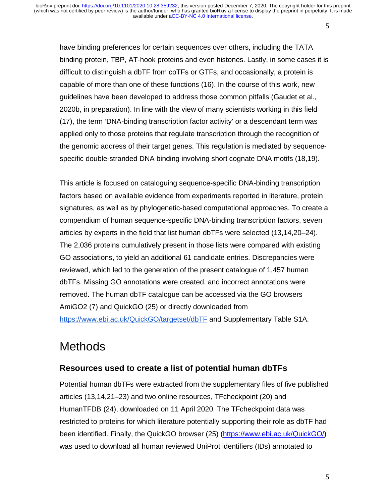have binding preferences for certain sequences over others, including the TATA binding protein, TBP, AT-hook proteins and even histones. Lastly, in some cases it is difficult to distinguish a dbTF from coTFs or GTFs, and occasionally, a protein is capable of more than one of these functions (16). In the course of this work, new guidelines have been developed to address those common pitfalls (Gaudet et al., 2020b, in preparation). In line with the view of many scientists working in this field (17), the term 'DNA-binding transcription factor activity' or a descendant term was applied only to those proteins that regulate transcription through the recognition of the genomic address of their target genes. This regulation is mediated by sequencespecific double-stranded DNA binding involving short cognate DNA motifs (18,19).

This article is focused on cataloguing sequence-specific DNA-binding transcription factors based on available evidence from experiments reported in literature, protein signatures, as well as by phylogenetic-based computational approaches. To create a compendium of human sequence-specific DNA-binding transcription factors, seven articles by experts in the field that list human dbTFs were selected (13,14,20–24). The 2,036 proteins cumulatively present in those lists were compared with existing GO associations, to yield an additional 61 candidate entries. Discrepancies were reviewed, which led to the generation of the present catalogue of 1,457 human dbTFs. Missing GO annotations were created, and incorrect annotations were removed. The human dbTF catalogue can be accessed via the GO browsers AmiGO2 (7) and QuickGO (25) or directly downloaded from https://www.ebi.ac.uk/QuickGO/targetset/dbTF and Supplementary Table S1A.

## **Methods**

### **Resources used to create a list of potential human dbTFs**

Potential human dbTFs were extracted from the supplementary files of five published articles (13,14,21–23) and two online resources, TFcheckpoint (20) and HumanTFDB (24), downloaded on 11 April 2020. The TFcheckpoint data was restricted to proteins for which literature potentially supporting their role as dbTF had been identified. Finally, the QuickGO browser (25) (https://www.ebi.ac.uk/QuickGO/) was used to download all human reviewed UniProt identifiers (IDs) annotated to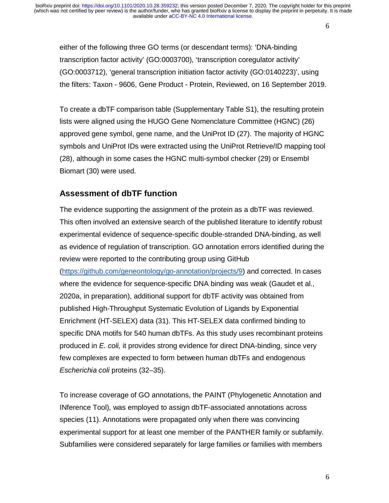either of the following three GO terms (or descendant terms): 'DNA-binding transcription factor activity' (GO:0003700), 'transcription coregulator activity' (GO:0003712), 'general transcription initiation factor activity (GO:0140223)', using the filters: Taxon - 9606, Gene Product - Protein, Reviewed, on 16 September 2019.

To create a dbTF comparison table (Supplementary Table S1), the resulting protein lists were aligned using the HUGO Gene Nomenclature Committee (HGNC) (26) approved gene symbol, gene name, and the UniProt ID (27). The majority of HGNC symbols and UniProt IDs were extracted using the UniProt Retrieve/ID mapping tool (28), although in some cases the HGNC multi-symbol checker (29) or Ensembl Biomart (30) were used.

### **Assessment of dbTF function**

The evidence supporting the assignment of the protein as a dbTF was reviewed. This often involved an extensive search of the published literature to identify robust experimental evidence of sequence-specific double-stranded DNA-binding, as well as evidence of regulation of transcription. GO annotation errors identified during the review were reported to the contributing group using GitHub (https://github.com/geneontology/go-annotation/projects/9) and corrected. In cases where the evidence for sequence-specific DNA binding was weak (Gaudet et al., 2020a, in preparation), additional support for dbTF activity was obtained from published High-Throughput Systematic Evolution of Ligands by Exponential Enrichment (HT-SELEX) data (31). This HT-SELEX data confirmed binding to specific DNA motifs for 540 human dbTFs. As this study uses recombinant proteins produced in *E. coli,* it provides strong evidence for direct DNA-binding, since very few complexes are expected to form between human dbTFs and endogenous *Escherichia coli* proteins (32–35).

To increase coverage of GO annotations, the PAINT (Phylogenetic Annotation and INference Tool), was employed to assign dbTF-associated annotations across species (11). Annotations were propagated only when there was convincing experimental support for at least one member of the PANTHER family or subfamily. Subfamilies were considered separately for large families or families with members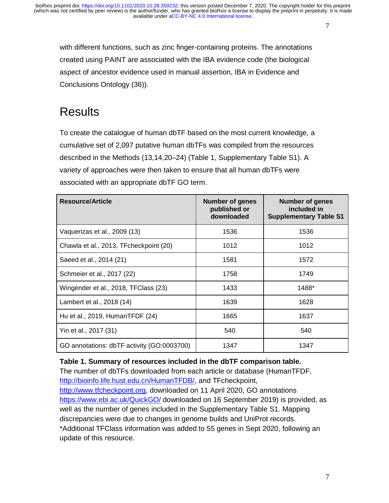with different functions, such as zinc finger-containing proteins. The annotations created using PAINT are associated with the IBA evidence code (the biological aspect of ancestor evidence used in manual assertion, IBA in Evidence and Conclusions Ontology (36)).

### **Results**

To create the catalogue of human dbTF based on the most current knowledge, a cumulative set of 2,097 putative human dbTFs was compiled from the resources described in the Methods (13,14,20–24) (Table 1, Supplementary Table S1). A variety of approaches were then taken to ensure that all human dbTFs were associated with an appropriate dbTF GO term.

| <b>Resource/Article</b>                    | <b>Number of genes</b><br>published or<br>downloaded | <b>Number of genes</b><br>included in<br><b>Supplementary Table S1</b> |
|--------------------------------------------|------------------------------------------------------|------------------------------------------------------------------------|
| Vaquerizas et al., 2009 (13)               | 1536                                                 | 1536                                                                   |
| Chawla et al., 2013, TFcheckpoint (20)     | 1012                                                 | 1012                                                                   |
| Saeed et al., 2014 (21)                    | 1581                                                 | 1572                                                                   |
| Schmeier et al., 2017 (22)                 | 1758                                                 | 1749                                                                   |
| Wingender et al., 2018, TFClass (23)       | 1433                                                 | 1488*                                                                  |
| Lambert et al., 2018 (14)                  | 1639                                                 | 1628                                                                   |
| Hu et al., 2019, HumanTFDF (24)            | 1665                                                 | 1637                                                                   |
| Yin et al., 2017 (31)                      | 540                                                  | 540                                                                    |
| GO annotations: dbTF activity (GO:0003700) | 1347                                                 | 1347                                                                   |

### **Table 1. Summary of resources included in the dbTF comparison table.**

The number of dbTFs downloaded from each article or database (HumanTFDF, http://bioinfo.life.hust.edu.cn/HumanTFDB/, and TFcheckpoint, http://www.tfcheckpoint.org, downloaded on 11 April 2020, GO annotations https://www.ebi.ac.uk/QuickGO/ downloaded on 16 September 2019) is provided, as well as the number of genes included in the Supplementary Table S1. Mapping discrepancies were due to changes in genome builds and UniProt records. \*Additional TFClass information was added to 55 genes in Sept 2020, following an update of this resource.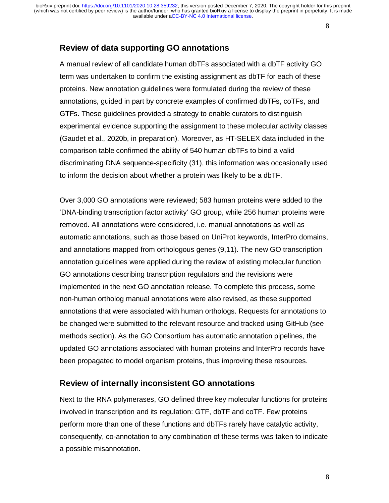### **Review of data supporting GO annotations**

A manual review of all candidate human dbTFs associated with a dbTF activity GO term was undertaken to confirm the existing assignment as dbTF for each of these proteins. New annotation guidelines were formulated during the review of these annotations, guided in part by concrete examples of confirmed dbTFs, coTFs, and GTFs. These guidelines provided a strategy to enable curators to distinguish experimental evidence supporting the assignment to these molecular activity classes (Gaudet et al., 2020b, in preparation). Moreover, as HT-SELEX data included in the comparison table confirmed the ability of 540 human dbTFs to bind a valid discriminating DNA sequence-specificity (31), this information was occasionally used to inform the decision about whether a protein was likely to be a dbTF.

Over 3,000 GO annotations were reviewed; 583 human proteins were added to the 'DNA-binding transcription factor activity' GO group, while 256 human proteins were removed. All annotations were considered, i.e. manual annotations as well as automatic annotations, such as those based on UniProt keywords, InterPro domains, and annotations mapped from orthologous genes (9,11). The new GO transcription annotation guidelines were applied during the review of existing molecular function GO annotations describing transcription regulators and the revisions were implemented in the next GO annotation release. To complete this process, some non-human ortholog manual annotations were also revised, as these supported annotations that were associated with human orthologs. Requests for annotations to be changed were submitted to the relevant resource and tracked using GitHub (see methods section). As the GO Consortium has automatic annotation pipelines, the updated GO annotations associated with human proteins and InterPro records have been propagated to model organism proteins, thus improving these resources.

#### **Review of internally inconsistent GO annotations**

Next to the RNA polymerases, GO defined three key molecular functions for proteins involved in transcription and its regulation: GTF, dbTF and coTF. Few proteins perform more than one of these functions and dbTFs rarely have catalytic activity, consequently, co-annotation to any combination of these terms was taken to indicate a possible misannotation.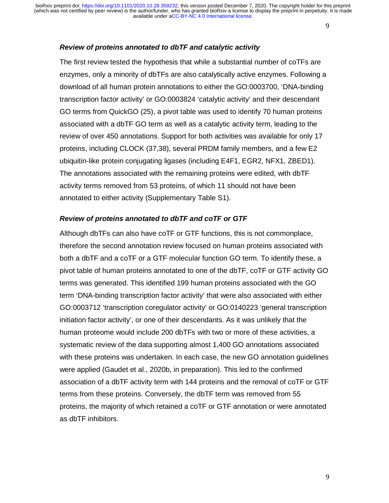#### *Review of proteins annotated to dbTF and catalytic activity*

The first review tested the hypothesis that while a substantial number of coTFs are enzymes, only a minority of dbTFs are also catalytically active enzymes. Following a download of all human protein annotations to either the GO:0003700, 'DNA-binding transcription factor activity' or GO:0003824 'catalytic activity' and their descendant GO terms from QuickGO (25), a pivot table was used to identify 70 human proteins associated with a dbTF GO term as well as a catalytic activity term, leading to the review of over 450 annotations. Support for both activities was available for only 17 proteins, including CLOCK (37,38), several PRDM family members, and a few E2 ubiquitin-like protein conjugating ligases (including E4F1, EGR2, NFX1, ZBED1). The annotations associated with the remaining proteins were edited, with dbTF activity terms removed from 53 proteins, of which 11 should not have been annotated to either activity (Supplementary Table S1).

#### *Review of proteins annotated to dbTF and coTF or GTF*

Although dbTFs can also have coTF or GTF functions, this is not commonplace, therefore the second annotation review focused on human proteins associated with both a dbTF and a coTF or a GTF molecular function GO term. To identify these, a pivot table of human proteins annotated to one of the dbTF, coTF or GTF activity GO terms was generated. This identified 199 human proteins associated with the GO term 'DNA-binding transcription factor activity' that were also associated with either GO:0003712 'transcription coregulator activity' or GO:0140223 'general transcription initiation factor activity', or one of their descendants. As it was unlikely that the human proteome would include 200 dbTFs with two or more of these activities, a systematic review of the data supporting almost 1,400 GO annotations associated with these proteins was undertaken. In each case, the new GO annotation guidelines were applied (Gaudet et al., 2020b, in preparation). This led to the confirmed association of a dbTF activity term with 144 proteins and the removal of coTF or GTF terms from these proteins. Conversely, the dbTF term was removed from 55 proteins, the majority of which retained a coTF or GTF annotation or were annotated as dbTF inhibitors.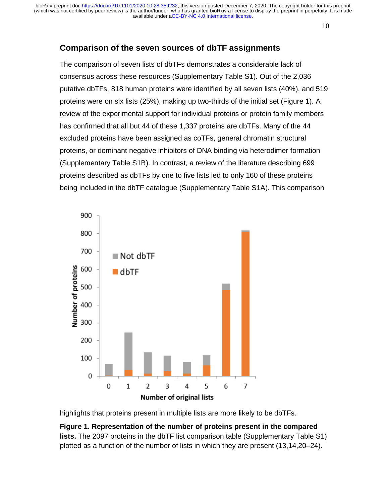available under [aCC-BY-NC 4.0 International license.](http://creativecommons.org/licenses/by-nc/4.0/) (which was not certified by peer review) is the author/funder, who has granted bioRxiv a license to display the preprint in perpetuity. It is made bioRxiv preprint doi: [https://doi.org/10.1101/2020.10.28.359232;](https://doi.org/10.1101/2020.10.28.359232) this version posted December 7, 2020. The copyright holder for this preprint

10

### **Comparison of the seven sources of dbTF assignments**

The comparison of seven lists of dbTFs demonstrates a considerable lack of consensus across these resources (Supplementary Table S1). Out of the 2,036 putative dbTFs, 818 human proteins were identified by all seven lists (40%), and 519 proteins were on six lists (25%), making up two-thirds of the initial set (Figure 1). A review of the experimental support for individual proteins or protein family members has confirmed that all but 44 of these 1,337 proteins are dbTFs. Many of the 44 excluded proteins have been assigned as coTFs, general chromatin structural proteins, or dominant negative inhibitors of DNA binding via heterodimer formation (Supplementary Table S1B). In contrast, a review of the literature describing 699 proteins described as dbTFs by one to five lists led to only 160 of these proteins being included in the dbTF catalogue (Supplementary Table S1A). This comparison



highlights that proteins present in multiple lists are more likely to be dbTFs.

**Figure 1. Representation of the number of proteins present in the compared lists.** The 2097 proteins in the dbTF list comparison table (Supplementary Table S1) plotted as a function of the number of lists in which they are present (13,14,20–24).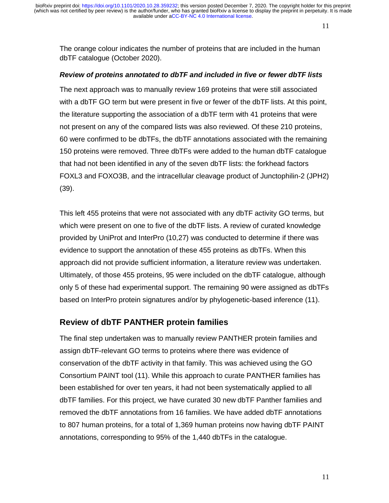The orange colour indicates the number of proteins that are included in the human dbTF catalogue (October 2020).

#### *Review of proteins annotated to dbTF and included in five or fewer dbTF lists*

The next approach was to manually review 169 proteins that were still associated with a dbTF GO term but were present in five or fewer of the dbTF lists. At this point, the literature supporting the association of a dbTF term with 41 proteins that were not present on any of the compared lists was also reviewed. Of these 210 proteins, 60 were confirmed to be dbTFs, the dbTF annotations associated with the remaining 150 proteins were removed. Three dbTFs were added to the human dbTF catalogue that had not been identified in any of the seven dbTF lists: the forkhead factors FOXL3 and FOXO3B, and the intracellular cleavage product of Junctophilin-2 (JPH2) (39).

This left 455 proteins that were not associated with any dbTF activity GO terms, but which were present on one to five of the dbTF lists. A review of curated knowledge provided by UniProt and InterPro (10,27) was conducted to determine if there was evidence to support the annotation of these 455 proteins as dbTFs. When this approach did not provide sufficient information, a literature review was undertaken. Ultimately, of those 455 proteins, 95 were included on the dbTF catalogue, although only 5 of these had experimental support. The remaining 90 were assigned as dbTFs based on InterPro protein signatures and/or by phylogenetic-based inference (11).

### **Review of dbTF PANTHER protein families**

The final step undertaken was to manually review PANTHER protein families and assign dbTF-relevant GO terms to proteins where there was evidence of conservation of the dbTF activity in that family. This was achieved using the GO Consortium PAINT tool (11). While this approach to curate PANTHER families has been established for over ten years, it had not been systematically applied to all dbTF families. For this project, we have curated 30 new dbTF Panther families and removed the dbTF annotations from 16 families. We have added dbTF annotations to 807 human proteins, for a total of 1,369 human proteins now having dbTF PAINT annotations, corresponding to 95% of the 1,440 dbTFs in the catalogue.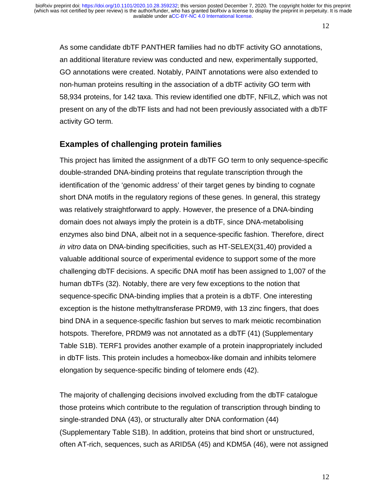As some candidate dbTF PANTHER families had no dbTF activity GO annotations, an additional literature review was conducted and new, experimentally supported, GO annotations were created. Notably, PAINT annotations were also extended to non-human proteins resulting in the association of a dbTF activity GO term with 58,934 proteins, for 142 taxa. This review identified one dbTF, NFILZ, which was not present on any of the dbTF lists and had not been previously associated with a dbTF activity GO term.

### **Examples of challenging protein families**

This project has limited the assignment of a dbTF GO term to only sequence-specific double-stranded DNA-binding proteins that regulate transcription through the identification of the 'genomic address' of their target genes by binding to cognate short DNA motifs in the regulatory regions of these genes. In general, this strategy was relatively straightforward to apply. However, the presence of a DNA-binding domain does not always imply the protein is a dbTF, since DNA-metabolising enzymes also bind DNA, albeit not in a sequence-specific fashion. Therefore, direct *in vitro* data on DNA-binding specificities, such as HT-SELEX(31,40) provided a valuable additional source of experimental evidence to support some of the more challenging dbTF decisions. A specific DNA motif has been assigned to 1,007 of the human dbTFs (32). Notably, there are very few exceptions to the notion that sequence-specific DNA-binding implies that a protein is a dbTF. One interesting exception is the histone methyltransferase PRDM9, with 13 zinc fingers, that does bind DNA in a sequence-specific fashion but serves to mark meiotic recombination hotspots. Therefore, PRDM9 was not annotated as a dbTF (41) (Supplementary Table S1B). TERF1 provides another example of a protein inappropriately included in dbTF lists. This protein includes a homeobox-like domain and inhibits telomere elongation by sequence-specific binding of telomere ends (42).

The majority of challenging decisions involved excluding from the dbTF catalogue those proteins which contribute to the regulation of transcription through binding to single-stranded DNA (43), or structurally alter DNA conformation (44) (Supplementary Table S1B). In addition, proteins that bind short or unstructured, often AT-rich, sequences, such as ARID5A (45) and KDM5A (46), were not assigned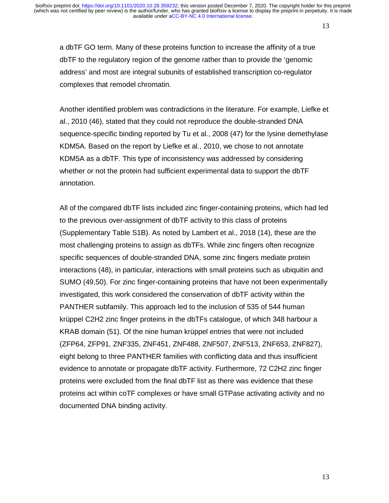a dbTF GO term. Many of these proteins function to increase the affinity of a true dbTF to the regulatory region of the genome rather than to provide the 'genomic address' and most are integral subunits of established transcription co-regulator complexes that remodel chromatin.

Another identified problem was contradictions in the literature. For example, Liefke et al., 2010 (46), stated that they could not reproduce the double-stranded DNA sequence-specific binding reported by Tu et al., 2008 (47) for the lysine demethylase KDM5A. Based on the report by Liefke et al., 2010, we chose to not annotate KDM5A as a dbTF. This type of inconsistency was addressed by considering whether or not the protein had sufficient experimental data to support the dbTF annotation.

All of the compared dbTF lists included zinc finger-containing proteins, which had led to the previous over-assignment of dbTF activity to this class of proteins (Supplementary Table S1B). As noted by Lambert et al., 2018 (14), these are the most challenging proteins to assign as dbTFs. While zinc fingers often recognize specific sequences of double-stranded DNA, some zinc fingers mediate protein interactions (48), in particular, interactions with small proteins such as ubiquitin and SUMO (49,50). For zinc finger-containing proteins that have not been experimentally investigated, this work considered the conservation of dbTF activity within the PANTHER subfamily. This approach led to the inclusion of 535 of 544 human krüppel C2H2 zinc finger proteins in the dbTFs catalogue, of which 348 harbour a KRAB domain (51). Of the nine human krüppel entries that were not included (ZFP64, ZFP91, ZNF335, ZNF451, ZNF488, ZNF507, ZNF513, ZNF653, ZNF827), eight belong to three PANTHER families with conflicting data and thus insufficient evidence to annotate or propagate dbTF activity. Furthermore, 72 C2H2 zinc finger proteins were excluded from the final dbTF list as there was evidence that these proteins act within coTF complexes or have small GTPase activating activity and no documented DNA binding activity.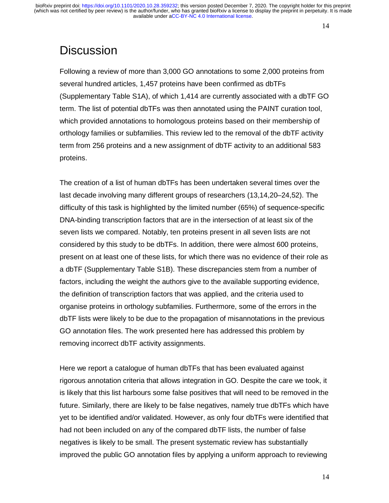## **Discussion**

Following a review of more than 3,000 GO annotations to some 2,000 proteins from several hundred articles, 1,457 proteins have been confirmed as dbTFs (Supplementary Table S1A), of which 1,414 are currently associated with a dbTF GO term. The list of potential dbTFs was then annotated using the PAINT curation tool, which provided annotations to homologous proteins based on their membership of orthology families or subfamilies. This review led to the removal of the dbTF activity term from 256 proteins and a new assignment of dbTF activity to an additional 583 proteins.

The creation of a list of human dbTFs has been undertaken several times over the last decade involving many different groups of researchers (13,14,20–24,52). The difficulty of this task is highlighted by the limited number (65%) of sequence-specific DNA-binding transcription factors that are in the intersection of at least six of the seven lists we compared. Notably, ten proteins present in all seven lists are not considered by this study to be dbTFs. In addition, there were almost 600 proteins, present on at least one of these lists, for which there was no evidence of their role as a dbTF (Supplementary Table S1B). These discrepancies stem from a number of factors, including the weight the authors give to the available supporting evidence, the definition of transcription factors that was applied, and the criteria used to organise proteins in orthology subfamilies. Furthermore, some of the errors in the dbTF lists were likely to be due to the propagation of misannotations in the previous GO annotation files. The work presented here has addressed this problem by removing incorrect dbTF activity assignments.

Here we report a catalogue of human dbTFs that has been evaluated against rigorous annotation criteria that allows integration in GO. Despite the care we took, it is likely that this list harbours some false positives that will need to be removed in the future. Similarly, there are likely to be false negatives, namely true dbTFs which have yet to be identified and/or validated. However, as only four dbTFs were identified that had not been included on any of the compared dbTF lists, the number of false negatives is likely to be small. The present systematic review has substantially improved the public GO annotation files by applying a uniform approach to reviewing

14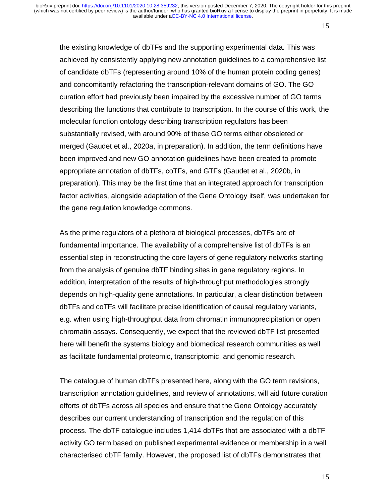the existing knowledge of dbTFs and the supporting experimental data. This was achieved by consistently applying new annotation guidelines to a comprehensive list of candidate dbTFs (representing around 10% of the human protein coding genes) and concomitantly refactoring the transcription-relevant domains of GO. The GO curation effort had previously been impaired by the excessive number of GO terms describing the functions that contribute to transcription. In the course of this work, the molecular function ontology describing transcription regulators has been substantially revised, with around 90% of these GO terms either obsoleted or merged (Gaudet et al., 2020a, in preparation). In addition, the term definitions have been improved and new GO annotation guidelines have been created to promote appropriate annotation of dbTFs, coTFs, and GTFs (Gaudet et al., 2020b, in preparation). This may be the first time that an integrated approach for transcription factor activities, alongside adaptation of the Gene Ontology itself, was undertaken for the gene regulation knowledge commons.

As the prime regulators of a plethora of biological processes, dbTFs are of fundamental importance. The availability of a comprehensive list of dbTFs is an essential step in reconstructing the core layers of gene regulatory networks starting from the analysis of genuine dbTF binding sites in gene regulatory regions. In addition, interpretation of the results of high-throughput methodologies strongly depends on high-quality gene annotations. In particular, a clear distinction between dbTFs and coTFs will facilitate precise identification of causal regulatory variants, e.g. when using high-throughput data from chromatin immunoprecipitation or open chromatin assays. Consequently, we expect that the reviewed dbTF list presented here will benefit the systems biology and biomedical research communities as well as facilitate fundamental proteomic, transcriptomic, and genomic research.

The catalogue of human dbTFs presented here, along with the GO term revisions, transcription annotation guidelines, and review of annotations, will aid future curation efforts of dbTFs across all species and ensure that the Gene Ontology accurately describes our current understanding of transcription and the regulation of this process. The dbTF catalogue includes 1,414 dbTFs that are associated with a dbTF activity GO term based on published experimental evidence or membership in a well characterised dbTF family. However, the proposed list of dbTFs demonstrates that

15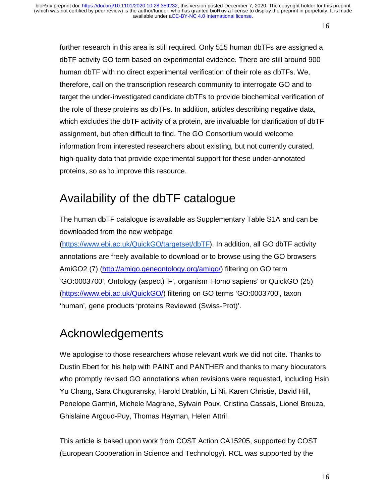further research in this area is still required. Only 515 human dbTFs are assigned a dbTF activity GO term based on experimental evidence. There are still around 900 human dbTF with no direct experimental verification of their role as dbTFs. We, therefore, call on the transcription research community to interrogate GO and to target the under-investigated candidate dbTFs to provide biochemical verification of the role of these proteins as dbTFs. In addition, articles describing negative data, which excludes the dbTF activity of a protein, are invaluable for clarification of dbTF assignment, but often difficult to find. The GO Consortium would welcome information from interested researchers about existing, but not currently curated, high-quality data that provide experimental support for these under-annotated proteins, so as to improve this resource.

## Availability of the dbTF catalogue

The human dbTF catalogue is available as Supplementary Table S1A and can be downloaded from the new webpage

(https://www.ebi.ac.uk/QuickGO/targetset/dbTF). In addition, all GO dbTF activity annotations are freely available to download or to browse using the GO browsers AmiGO2 (7) (http://amigo.geneontology.org/amigo/) filtering on GO term 'GO:0003700', Ontology (aspect) 'F', organism 'Homo sapiens' or QuickGO (25) (https://www.ebi.ac.uk/QuickGO/) filtering on GO terms 'GO:0003700', taxon 'human', gene products 'proteins Reviewed (Swiss-Prot)'.

## Acknowledgements

We apologise to those researchers whose relevant work we did not cite. Thanks to Dustin Ebert for his help with PAINT and PANTHER and thanks to many biocurators who promptly revised GO annotations when revisions were requested, including Hsin Yu Chang, Sara Chuguransky, Harold Drabkin, Li Ni, Karen Christie, David Hill, Penelope Garmiri, Michele Magrane, Sylvain Poux, Cristina Cassals, Lionel Breuza, Ghislaine Argoud-Puy, Thomas Hayman, Helen Attril.

This article is based upon work from COST Action CA15205, supported by COST (European Cooperation in Science and Technology). RCL was supported by the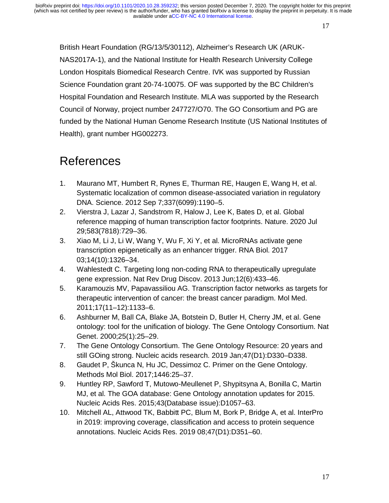British Heart Foundation (RG/13/5/30112), Alzheimer's Research UK (ARUK-NAS2017A-1), and the National Institute for Health Research University College London Hospitals Biomedical Research Centre. IVK was supported by Russian Science Foundation grant 20-74-10075. OF was supported by the BC Children's Hospital Foundation and Research Institute. MLA was supported by the Research Council of Norway, project number 247727/O70. The GO Consortium and PG are funded by the National Human Genome Research Institute (US National Institutes of Health), grant number HG002273.

## References

- 1. Maurano MT, Humbert R, Rynes E, Thurman RE, Haugen E, Wang H, et al. Systematic localization of common disease-associated variation in regulatory DNA. Science. 2012 Sep 7;337(6099):1190–5.
- 2. Vierstra J, Lazar J, Sandstrom R, Halow J, Lee K, Bates D, et al. Global reference mapping of human transcription factor footprints. Nature. 2020 Jul 29;583(7818):729–36.
- 3. Xiao M, Li J, Li W, Wang Y, Wu F, Xi Y, et al. MicroRNAs activate gene transcription epigenetically as an enhancer trigger. RNA Biol. 2017 03;14(10):1326–34.
- 4. Wahlestedt C. Targeting long non-coding RNA to therapeutically upregulate gene expression. Nat Rev Drug Discov. 2013 Jun;12(6):433–46.
- 5. Karamouzis MV, Papavassiliou AG. Transcription factor networks as targets for therapeutic intervention of cancer: the breast cancer paradigm. Mol Med. 2011;17(11–12):1133–6.
- 6. Ashburner M, Ball CA, Blake JA, Botstein D, Butler H, Cherry JM, et al. Gene ontology: tool for the unification of biology. The Gene Ontology Consortium. Nat Genet. 2000;25(1):25–29.
- 7. The Gene Ontology Consortium. The Gene Ontology Resource: 20 years and still GOing strong. Nucleic acids research. 2019 Jan;47(D1):D330–D338.
- 8. Gaudet P, Škunca N, Hu JC, Dessimoz C. Primer on the Gene Ontology. Methods Mol Biol. 2017;1446:25–37.
- 9. Huntley RP, Sawford T, Mutowo-Meullenet P, Shypitsyna A, Bonilla C, Martin MJ, et al. The GOA database: Gene Ontology annotation updates for 2015. Nucleic Acids Res. 2015;43(Database issue):D1057–63.
- 10. Mitchell AL, Attwood TK, Babbitt PC, Blum M, Bork P, Bridge A, et al. InterPro in 2019: improving coverage, classification and access to protein sequence annotations. Nucleic Acids Res. 2019 08;47(D1):D351–60.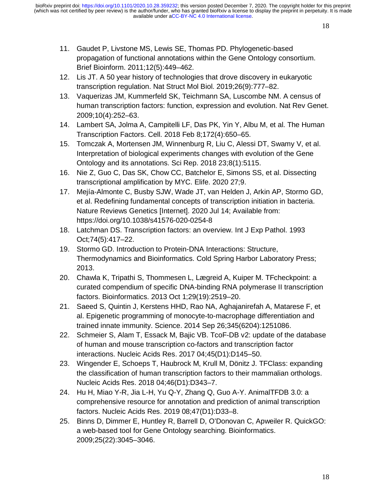- 11. Gaudet P, Livstone MS, Lewis SE, Thomas PD. Phylogenetic-based propagation of functional annotations within the Gene Ontology consortium. Brief Bioinform. 2011;12(5):449–462.
- 12. Lis JT. A 50 year history of technologies that drove discovery in eukaryotic transcription regulation. Nat Struct Mol Biol. 2019;26(9):777–82.
- 13. Vaquerizas JM, Kummerfeld SK, Teichmann SA, Luscombe NM. A census of human transcription factors: function, expression and evolution. Nat Rev Genet. 2009;10(4):252–63.
- 14. Lambert SA, Jolma A, Campitelli LF, Das PK, Yin Y, Albu M, et al. The Human Transcription Factors. Cell. 2018 Feb 8;172(4):650–65.
- 15. Tomczak A, Mortensen JM, Winnenburg R, Liu C, Alessi DT, Swamy V, et al. Interpretation of biological experiments changes with evolution of the Gene Ontology and its annotations. Sci Rep. 2018 23;8(1):5115.
- 16. Nie Z, Guo C, Das SK, Chow CC, Batchelor E, Simons SS, et al. Dissecting transcriptional amplification by MYC. Elife. 2020 27;9.
- 17. Mejía-Almonte C, Busby SJW, Wade JT, van Helden J, Arkin AP, Stormo GD, et al. Redefining fundamental concepts of transcription initiation in bacteria. Nature Reviews Genetics [Internet]. 2020 Jul 14; Available from: https://doi.org/10.1038/s41576-020-0254-8
- 18. Latchman DS. Transcription factors: an overview. Int J Exp Pathol. 1993 Oct;74(5):417–22.
- 19. Stormo GD. Introduction to Protein-DNA Interactions: Structure, Thermodynamics and Bioinformatics. Cold Spring Harbor Laboratory Press; 2013.
- 20. Chawla K, Tripathi S, Thommesen L, Lægreid A, Kuiper M. TFcheckpoint: a curated compendium of specific DNA-binding RNA polymerase II transcription factors. Bioinformatics. 2013 Oct 1;29(19):2519–20.
- 21. Saeed S, Quintin J, Kerstens HHD, Rao NA, Aghajanirefah A, Matarese F, et al. Epigenetic programming of monocyte-to-macrophage differentiation and trained innate immunity. Science. 2014 Sep 26;345(6204):1251086.
- 22. Schmeier S, Alam T, Essack M, Bajic VB. TcoF-DB v2: update of the database of human and mouse transcription co-factors and transcription factor interactions. Nucleic Acids Res. 2017 04;45(D1):D145–50.
- 23. Wingender E, Schoeps T, Haubrock M, Krull M, Dönitz J. TFClass: expanding the classification of human transcription factors to their mammalian orthologs. Nucleic Acids Res. 2018 04;46(D1):D343–7.
- 24. Hu H, Miao Y-R, Jia L-H, Yu Q-Y, Zhang Q, Guo A-Y. AnimalTFDB 3.0: a comprehensive resource for annotation and prediction of animal transcription factors. Nucleic Acids Res. 2019 08;47(D1):D33–8.
- 25. Binns D, Dimmer E, Huntley R, Barrell D, O'Donovan C, Apweiler R. QuickGO: a web-based tool for Gene Ontology searching. Bioinformatics. 2009;25(22):3045–3046.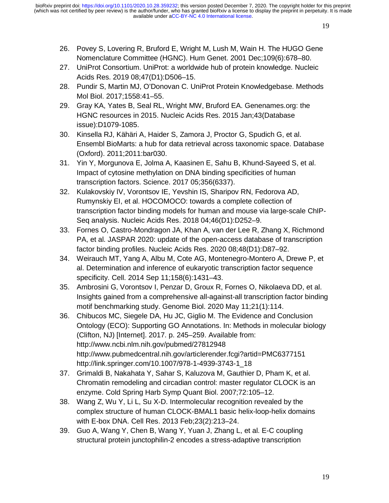- 26. Povey S, Lovering R, Bruford E, Wright M, Lush M, Wain H. The HUGO Gene Nomenclature Committee (HGNC). Hum Genet. 2001 Dec;109(6):678–80.
- 27. UniProt Consortium. UniProt: a worldwide hub of protein knowledge. Nucleic Acids Res. 2019 08;47(D1):D506–15.
- 28. Pundir S, Martin MJ, O'Donovan C. UniProt Protein Knowledgebase. Methods Mol Biol. 2017;1558:41–55.
- 29. Gray KA, Yates B, Seal RL, Wright MW, Bruford EA. Genenames.org: the HGNC resources in 2015. Nucleic Acids Res. 2015 Jan;43(Database issue):D1079-1085.
- 30. Kinsella RJ, Kähäri A, Haider S, Zamora J, Proctor G, Spudich G, et al. Ensembl BioMarts: a hub for data retrieval across taxonomic space. Database (Oxford). 2011;2011:bar030.
- 31. Yin Y, Morgunova E, Jolma A, Kaasinen E, Sahu B, Khund-Sayeed S, et al. Impact of cytosine methylation on DNA binding specificities of human transcription factors. Science. 2017 05;356(6337).
- 32. Kulakovskiy IV, Vorontsov IE, Yevshin IS, Sharipov RN, Fedorova AD, Rumynskiy EI, et al. HOCOMOCO: towards a complete collection of transcription factor binding models for human and mouse via large-scale ChIP-Seq analysis. Nucleic Acids Res. 2018 04;46(D1):D252–9.
- 33. Fornes O, Castro-Mondragon JA, Khan A, van der Lee R, Zhang X, Richmond PA, et al. JASPAR 2020: update of the open-access database of transcription factor binding profiles. Nucleic Acids Res. 2020 08;48(D1):D87–92.
- 34. Weirauch MT, Yang A, Albu M, Cote AG, Montenegro-Montero A, Drewe P, et al. Determination and inference of eukaryotic transcription factor sequence specificity. Cell. 2014 Sep 11;158(6):1431–43.
- 35. Ambrosini G, Vorontsov I, Penzar D, Groux R, Fornes O, Nikolaeva DD, et al. Insights gained from a comprehensive all-against-all transcription factor binding motif benchmarking study. Genome Biol. 2020 May 11;21(1):114.
- 36. Chibucos MC, Siegele DA, Hu JC, Giglio M. The Evidence and Conclusion Ontology (ECO): Supporting GO Annotations. In: Methods in molecular biology (Clifton, NJ) [Internet]. 2017. p. 245–259. Available from: http://www.ncbi.nlm.nih.gov/pubmed/27812948 http://www.pubmedcentral.nih.gov/articlerender.fcgi?artid=PMC6377151 http://link.springer.com/10.1007/978-1-4939-3743-1\_18
- 37. Grimaldi B, Nakahata Y, Sahar S, Kaluzova M, Gauthier D, Pham K, et al. Chromatin remodeling and circadian control: master regulator CLOCK is an enzyme. Cold Spring Harb Symp Quant Biol. 2007;72:105–12.
- 38. Wang Z, Wu Y, Li L, Su X-D. Intermolecular recognition revealed by the complex structure of human CLOCK-BMAL1 basic helix-loop-helix domains with E-box DNA. Cell Res. 2013 Feb;23(2):213–24.
- 39. Guo A, Wang Y, Chen B, Wang Y, Yuan J, Zhang L, et al. E-C coupling structural protein junctophilin-2 encodes a stress-adaptive transcription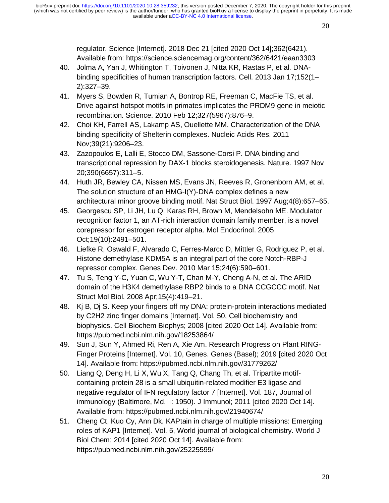regulator. Science [Internet]. 2018 Dec 21 [cited 2020 Oct 14];362(6421). Available from: https://science.sciencemag.org/content/362/6421/eaan3303

- 40. Jolma A, Yan J, Whitington T, Toivonen J, Nitta KR, Rastas P, et al. DNAbinding specificities of human transcription factors. Cell. 2013 Jan 17;152(1– 2):327–39.
- 41. Myers S, Bowden R, Tumian A, Bontrop RE, Freeman C, MacFie TS, et al. Drive against hotspot motifs in primates implicates the PRDM9 gene in meiotic recombination. Science. 2010 Feb 12;327(5967):876–9.
- 42. Choi KH, Farrell AS, Lakamp AS, Ouellette MM. Characterization of the DNA binding specificity of Shelterin complexes. Nucleic Acids Res. 2011 Nov;39(21):9206–23.
- 43. Zazopoulos E, Lalli E, Stocco DM, Sassone-Corsi P. DNA binding and transcriptional repression by DAX-1 blocks steroidogenesis. Nature. 1997 Nov 20;390(6657):311–5.
- 44. Huth JR, Bewley CA, Nissen MS, Evans JN, Reeves R, Gronenborn AM, et al. The solution structure of an HMG-I(Y)-DNA complex defines a new architectural minor groove binding motif. Nat Struct Biol. 1997 Aug;4(8):657–65.
- 45. Georgescu SP, Li JH, Lu Q, Karas RH, Brown M, Mendelsohn ME. Modulator recognition factor 1, an AT-rich interaction domain family member, is a novel corepressor for estrogen receptor alpha. Mol Endocrinol. 2005 Oct;19(10):2491–501.
- 46. Liefke R, Oswald F, Alvarado C, Ferres-Marco D, Mittler G, Rodriguez P, et al. Histone demethylase KDM5A is an integral part of the core Notch-RBP-J repressor complex. Genes Dev. 2010 Mar 15;24(6):590–601.
- 47. Tu S, Teng Y-C, Yuan C, Wu Y-T, Chan M-Y, Cheng A-N, et al. The ARID domain of the H3K4 demethylase RBP2 binds to a DNA CCGCCC motif. Nat Struct Mol Biol. 2008 Apr;15(4):419–21.
- 48. Kj B, Dj S. Keep your fingers off my DNA: protein-protein interactions mediated by C2H2 zinc finger domains [Internet]. Vol. 50, Cell biochemistry and biophysics. Cell Biochem Biophys; 2008 [cited 2020 Oct 14]. Available from: https://pubmed.ncbi.nlm.nih.gov/18253864/
- 49. Sun J, Sun Y, Ahmed Ri, Ren A, Xie Am. Research Progress on Plant RING-Finger Proteins [Internet]. Vol. 10, Genes. Genes (Basel); 2019 [cited 2020 Oct 14]. Available from: https://pubmed.ncbi.nlm.nih.gov/31779262/
- 50. Liang Q, Deng H, Li X, Wu X, Tang Q, Chang Th, et al. Tripartite motifcontaining protein 28 is a small ubiquitin-related modifier E3 ligase and negative regulator of IFN regulatory factor 7 [Internet]. Vol. 187, Journal of  $immunology$  (Baltimore, Md. $\square$ : 1950). J Immunol; 2011 [cited 2020 Oct 14]. Available from: https://pubmed.ncbi.nlm.nih.gov/21940674/
- 51. Cheng Ct, Kuo Cy, Ann Dk. KAPtain in charge of multiple missions: Emerging roles of KAP1 [Internet]. Vol. 5, World journal of biological chemistry. World J Biol Chem; 2014 [cited 2020 Oct 14]. Available from: https://pubmed.ncbi.nlm.nih.gov/25225599/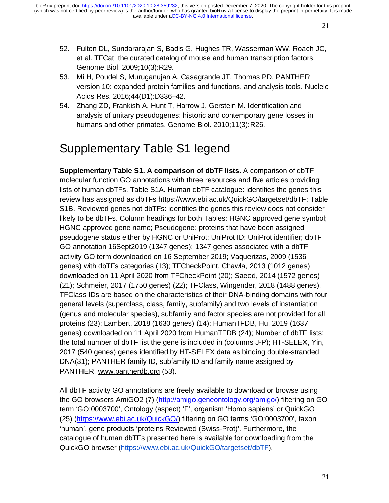- 52. Fulton DL, Sundararajan S, Badis G, Hughes TR, Wasserman WW, Roach JC, et al. TFCat: the curated catalog of mouse and human transcription factors. Genome Biol. 2009;10(3):R29.
- 53. Mi H, Poudel S, Muruganujan A, Casagrande JT, Thomas PD. PANTHER version 10: expanded protein families and functions, and analysis tools. Nucleic Acids Res. 2016;44(D1):D336–42.
- 54. Zhang ZD, Frankish A, Hunt T, Harrow J, Gerstein M. Identification and analysis of unitary pseudogenes: historic and contemporary gene losses in humans and other primates. Genome Biol. 2010;11(3):R26.

## Supplementary Table S1 legend

**Supplementary Table S1. A comparison of dbTF lists.** A comparison of dbTF molecular function GO annotations with three resources and five articles providing lists of human dbTFs. Table S1A. Human dbTF catalogue: identifies the genes this review has assigned as dbTFs https://www.ebi.ac.uk/QuickGO/targetset/dbTF; Table S1B. Reviewed genes not dbTFs: identifies the genes this review does not consider likely to be dbTFs. Column headings for both Tables: HGNC approved gene symbol; HGNC approved gene name; Pseudogene: proteins that have been assigned pseudogene status either by HGNC or UniProt; UniProt ID: UniProt identifier; dbTF GO annotation 16Sept2019 (1347 genes): 1347 genes associated with a dbTF activity GO term downloaded on 16 September 2019; Vaquerizas, 2009 (1536 genes) with dbTFs categories (13); TFCheckPoint, Chawla, 2013 (1012 genes) downloaded on 11 April 2020 from TFCheckPoint (20); Saeed, 2014 (1572 genes) (21); Schmeier, 2017 (1750 genes) (22); TFClass, Wingender, 2018 (1488 genes), TFClass IDs are based on the characteristics of their DNA-binding domains with four general levels (superclass, class, family, subfamily) and two levels of instantiation (genus and molecular species), subfamily and factor species are not provided for all proteins (23); Lambert, 2018 (1630 genes) (14); HumanTFDB, Hu, 2019 (1637 genes) downloaded on 11 April 2020 from HumanTFDB (24); Number of dbTF lists: the total number of dbTF list the gene is included in (columns J-P); HT-SELEX, Yin, 2017 (540 genes) genes identified by HT-SELEX data as binding double-stranded DNA(31); PANTHER family ID, subfamily ID and family name assigned by PANTHER, www.pantherdb.org (53).

All dbTF activity GO annotations are freely available to download or browse using the GO browsers AmiGO2 (7) (http://amigo.geneontology.org/amigo/) filtering on GO term 'GO:0003700', Ontology (aspect) 'F', organism 'Homo sapiens' or QuickGO (25) (https://www.ebi.ac.uk/QuickGO/) filtering on GO terms 'GO:0003700', taxon 'human', gene products 'proteins Reviewed (Swiss-Prot)'. Furthermore, the catalogue of human dbTFs presented here is available for downloading from the QuickGO browser (https://www.ebi.ac.uk/QuickGO/targetset/dbTF).